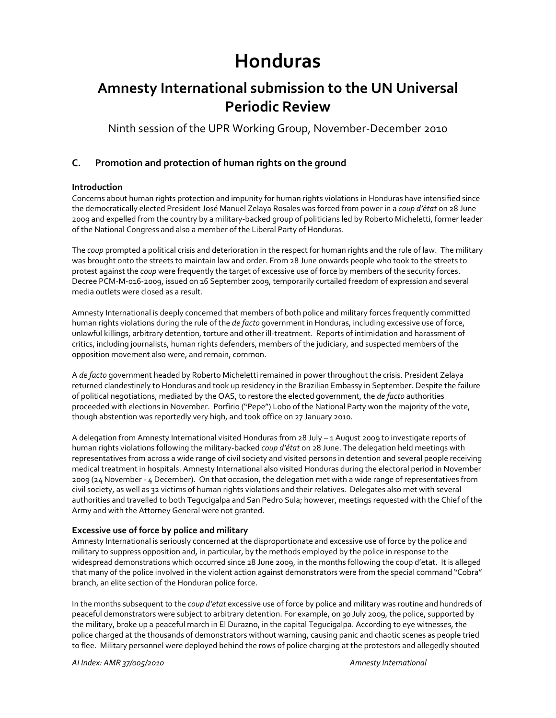# **Honduras**

# **Amnesty International submission to the UN Universal Periodic Review**

Ninth session of the UPR Working Group, November‐December 2010

# **C. Promotion and protection of human rights on the ground**

### **Introduction**

Concerns about human rights protection and impunity for human rights violations in Honduras have intensified since the democratically elected President José Manuel Zelaya Rosales was forced from power in a *coup d'état* on 28 June 2009 and expelled from the country by a military‐backed group of politicians led by Roberto Micheletti, former leader of the National Congress and also a member of the Liberal Party of Honduras.

The *coup* prompted a political crisis and deterioration in the respect for human rights and the rule of law. The military was brought onto the streets to maintain law and order. From 28 June onwards people who took to the streets to protest against the *coup* were frequently the target of excessive use of force by members of the security forces. Decree PCM‐M‐016‐2009, issued on 16 September 2009, temporarily curtailed freedom of expression and several media outlets were closed as a result.

Amnesty International is deeply concerned that members of both police and military forces frequently committed human rights violations during the rule of the *de facto* government in Honduras, including excessive use of force, unlawful killings, arbitrary detention, torture and other ill‐treatment. Reports of intimidation and harassment of critics, including journalists, human rights defenders, members of the judiciary, and suspected members of the opposition movement also were, and remain, common.

A *de facto* government headed by Roberto Micheletti remained in power throughout the crisis. President Zelaya returned clandestinely to Honduras and took up residency in the Brazilian Embassy in September. Despite the failure of political negotiations, mediated by the OAS, to restore the elected government, the *de facto* authorities proceeded with elections in November. Porfirio ("Pepe") Lobo of the National Party won the majority of the vote, though abstention was reportedly very high, and took office on 27 January 2010.

A delegation from Amnesty International visited Honduras from 28 July – 1 August 2009 to investigate reports of human rights violations following the military‐backed *coup d'état* on 28 June. The delegation held meetings with representatives from across a wide range of civil society and visited persons in detention and several people receiving medical treatment in hospitals. Amnesty International also visited Honduras during the electoral period in November 2009 (24 November ‐ 4 December). On that occasion, the delegation met with a wide range of representatives from civil society, as well as 32 victims of human rights violations and their relatives. Delegates also met with several authorities and travelled to both Tegucigalpa and San Pedro Sula; however, meetings requested with the Chief of the Army and with the Attorney General were not granted.

# **Excessive use of force by police and military**

Amnesty International is seriously concerned at the disproportionate and excessive use of force by the police and military to suppress opposition and, in particular, by the methods employed by the police in response to the widespread demonstrations which occurred since 28 June 2009, in the months following the coup d'etat. It is alleged that many of the police involved in the violent action against demonstrators were from the special command "Cobra" branch, an elite section of the Honduran police force.

In the months subsequent to the *coup d'etat* excessive use of force by police and military was routine and hundreds of peaceful demonstrators were subject to arbitrary detention. For example, on 30 July 2009, the police, supported by the military, broke up a peaceful march in El Durazno, in the capital Tegucigalpa. According to eye witnesses, the police charged at the thousands of demonstrators without warning, causing panic and chaotic scenes as people tried to flee. Military personnel were deployed behind the rows of police charging at the protestors and allegedly shouted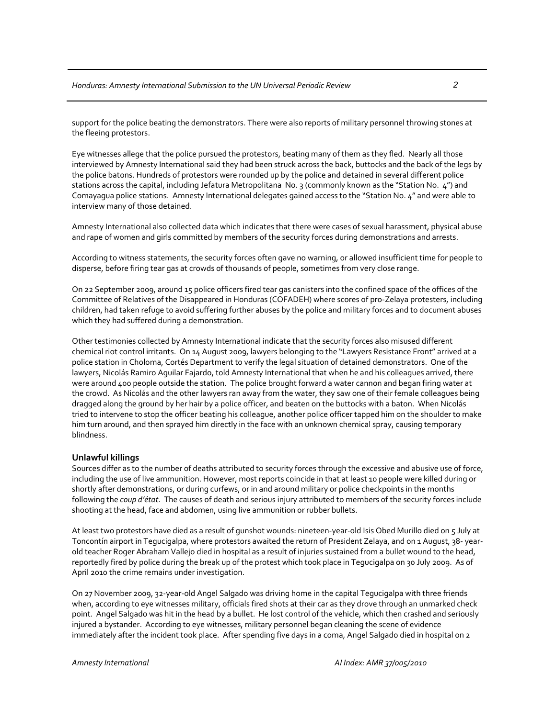support for the police beating the demonstrators. There were also reports of military personnel throwing stones at the fleeing protestors.

Eye witnesses allege that the police pursued the protestors, beating many of them as they fled. Nearly all those interviewed by Amnesty International said they had been struck across the back, buttocks and the back of the legs by the police batons. Hundreds of protestors were rounded up by the police and detained in several different police stations across the capital, including Jefatura Metropolitana No. 3 (commonly known as the "Station No. 4") and Comayagua police stations. Amnesty International delegates gained access to the "Station No. 4" and were able to interview many of those detained.

Amnesty International also collected data which indicates that there were cases of sexual harassment, physical abuse and rape of women and girls committed by members of the security forces during demonstrations and arrests.

According to witness statements, the security forces often gave no warning, or allowed insufficient time for people to disperse, before firing tear gas at crowds of thousands of people, sometimes from very close range.

On 22 September 2009, around 15 police officers fired tear gas canisters into the confined space of the offices of the Committee of Relatives of the Disappeared in Honduras (COFADEH) where scores of pro‐Zelaya protesters, including children, had taken refuge to avoid suffering further abuses by the police and military forces and to document abuses which they had suffered during a demonstration.

Other testimonies collected by Amnesty International indicate that the security forces also misused different chemical riot control irritants. On 14 August 2009, lawyers belonging to the "Lawyers Resistance Front" arrived at a police station in Choloma, Cortés Department to verify the legal situation of detained demonstrators. One of the lawyers, Nicolás Ramiro Aguilar Fajardo, told Amnesty International that when he and his colleagues arrived, there were around 400 people outside the station. The police brought forward a water cannon and began firing water at the crowd. As Nicolás and the other lawyers ran away from the water, they saw one of their female colleagues being dragged along the ground by her hair by a police officer, and beaten on the buttocks with a baton. When Nicolás tried to intervene to stop the officer beating his colleague, another police officer tapped him on the shoulder to make him turn around, and then sprayed him directly in the face with an unknown chemical spray, causing temporary blindness.

#### **Unlawful killings**

Sources differ as to the number of deaths attributed to security forces through the excessive and abusive use of force, including the use of live ammunition. However, most reports coincide in that at least 10 people were killed during or shortly after demonstrations, or during curfews, or in and around military or police checkpoints in the months following the *coup d'état*. The causes of death and serious injury attributed to members of the security forces include shooting at the head, face and abdomen, using live ammunition or rubber bullets.

At least two protestors have died as a result of gunshot wounds: nineteen‐year‐old Isis Obed Murillo died on 5 July at Toncontín airport in Tegucigalpa, where protestors awaited the return of President Zelaya, and on 1 August, 38‐ year‐ old teacher Roger Abraham Vallejo died in hospital as a result of injuries sustained from a bullet wound to the head, reportedly fired by police during the break up of the protest which took place in Tegucigalpa on 30 July 2009. As of April 2010 the crime remains under investigation.

On 27 November 2009, 32‐year‐old Angel Salgado was driving home in the capital Tegucigalpa with three friends when, according to eye witnesses military, officials fired shots at their car as they drove through an unmarked check point. Angel Salgado was hit in the head by a bullet. He lost control of the vehicle, which then crashed and seriously injured a bystander. According to eye witnesses, military personnel began cleaning the scene of evidence immediately after the incident took place. After spending five days in a coma, Angel Salgado died in hospital on 2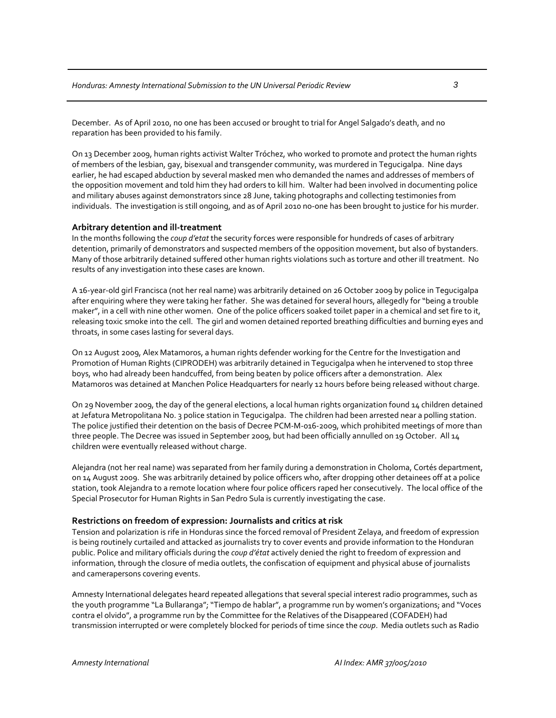December. As of April 2010, no one has been accused or brought to trial for Angel Salgado's death, and no reparation has been provided to his family.

On 13 December 2009, human rights activist Walter Tróchez, who worked to promote and protect the human rights of members of the lesbian, gay, bisexual and transgender community, was murdered in Tegucigalpa. Nine days earlier, he had escaped abduction by several masked men who demanded the names and addresses of members of the opposition movement and told him they had orders to kill him. Walter had been involved in documenting police and military abuses against demonstrators since 28 June, taking photographs and collecting testimonies from individuals. The investigation is still ongoing, and as of April 2010 no-one has been brought to justice for his murder.

#### **Arbitrary detention and ill‐treatment**

In the months following the *coup d'etat* the security forces were responsible for hundreds of cases of arbitrary detention, primarily of demonstrators and suspected members of the opposition movement, but also of bystanders. Many of those arbitrarily detained suffered other human rights violations such as torture and other ill treatment. No results of any investigation into these cases are known.

A 16‐year‐old girl Francisca (not her real name) was arbitrarily detained on 26 October 2009 by police in Tegucigalpa after enquiring where they were taking her father. She was detained for several hours, allegedly for "being a trouble maker", in a cell with nine other women. One of the police officers soaked toilet paper in a chemical and set fire to it, releasing toxic smoke into the cell. The girl and women detained reported breathing difficulties and burning eyes and throats, in some cases lasting for several days.

On 12 August 2009, Alex Matamoros, a human rights defender working for the Centre for the Investigation and Promotion of Human Rights (CIPRODEH) was arbitrarily detained in Tegucigalpa when he intervened to stop three boys, who had already been handcuffed, from being beaten by police officers after a demonstration. Alex Matamoros was detained at Manchen Police Headquarters for nearly 12 hours before being released without charge.

On 29 November 2009, the day of the general elections, a local human rights organization found 14 children detained at Jefatura Metropolitana No. 3 police station in Tegucigalpa. The children had been arrested near a polling station. The police justified their detention on the basis of Decree PCM‐M‐016‐2009, which prohibited meetings of more than three people. The Decree was issued in September 2009, but had been officially annulled on 19 October. All 14 children were eventually released without charge.

Alejandra (not her real name) was separated from her family during a demonstration in Choloma, Cortés department, on 14 August 2009. She was arbitrarily detained by police officers who, after dropping other detainees off at a police station, took Alejandra to a remote location where four police officers raped her consecutively. The local office of the Special Prosecutor for Human Rights in San Pedro Sula is currently investigating the case.

#### **Restrictions on freedom of expression: Journalists and critics at risk**

Tension and polarization is rife in Honduras since the forced removal of President Zelaya, and freedom of expression is being routinely curtailed and attacked as journalists try to cover events and provide information to the Honduran public. Police and military officials during the *coup d'état* actively denied the right to freedom of expression and information, through the closure of media outlets, the confiscation of equipment and physical abuse of journalists and camerapersons covering events.

Amnesty International delegates heard repeated allegations that several special interest radio programmes, such as the youth programme "La Bullaranga";"Tiempo de hablar", a programme run by women's organizations; and "Voces contra el olvido", a programme run by the Committee for the Relatives of the Disappeared (COFADEH) had transmission interrupted or were completely blocked for periods of time since the *coup*. Media outlets such as Radio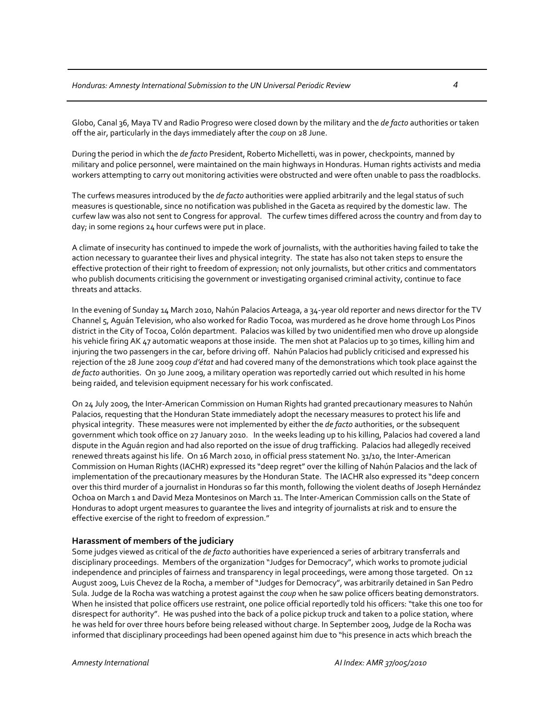Globo, Canal 36, Maya TV and Radio Progreso were closed down by the military and the *de facto* authorities or taken off the air, particularly in the days immediately after the *coup* on 28 June.

During the period in which the *de facto* President, Roberto Michelletti, was in power, checkpoints, manned by military and police personnel, were maintained on the main highways in Honduras. Human rights activists and media workers attempting to carry out monitoring activities were obstructed and were often unable to pass the roadblocks.

The curfews measures introduced by the *de facto* authorities were applied arbitrarily and the legal status of such measures is questionable, since no notification was published in the Gaceta as required by the domestic law. The curfew law was also not sent to Congress for approval. The curfew times differed across the country and from day to day; in some regions 24 hour curfews were put in place.

A climate of insecurity has continued to impede the work of journalists, with the authorities having failed to take the action necessary to guarantee their lives and physical integrity. The state has also not taken steps to ensure the effective protection of their right to freedom of expression; not only journalists, but other critics and commentators who publish documents criticising the government or investigating organised criminal activity, continue to face threats and attacks.

In the evening of Sunday 14 March 2010, Nahún Palacios Arteaga, a 34‐year old reporter and news director for the TV Channel 5, Aguán Television, who also worked for Radio Tocoa, was murdered as he drove home through Los Pinos district in the City of Tocoa, Colón department. Palacios was killed by two unidentified men who drove up alongside his vehicle firing AK 47 automatic weapons at those inside. The men shot at Palacios up to 30 times, killing him and injuring the two passengers in the car, before driving off. Nahún Palacios had publicly criticised and expressed his rejection of the 28 June 2009 *coup d'état* and had covered many of the demonstrations which took place against the *de facto* authorities. On 30 June 2009, a military operation was reportedly carried out which resulted in his home being raided, and television equipment necessary for his work confiscated.

On 24 July 2009, the Inter‐American Commission on Human Rights had granted precautionary measures to Nahún Palacios, requesting that the Honduran State immediately adopt the necessary measures to protect his life and physical integrity. These measures were not implemented by either the *de facto* authorities, or the subsequent government which took office on 27 January 2010. In the weeks leading up to his killing, Palacios had covered a land dispute in the Aguán region and had also reported on the issue of drug trafficking. Palacios had allegedly received renewed threats against his life. On 16 March 2010, in official press statement No. 31/10, the Inter‐American Commission on Human Rights (IACHR) expressed its "deep regret" over the killing of Nahún Palacios and the lack of implementation of the precautionary measures by the Honduran State. The IACHR also expressed its "deep concern over this third murder of a journalist in Honduras so far this month, following the violent deaths of Joseph Hernández Ochoa on March 1 and David Meza Montesinos on March 11. The Inter‐American Commission calls on the State of Honduras to adopt urgent measures to guarantee the lives and integrity of journalists at risk and to ensure the effective exercise of the right to freedom of expression."

#### **Harassment of members of the judiciary**

Some judges viewed as critical of the *de facto* authorities have experienced a series of arbitrary transferrals and disciplinary proceedings. Members of the organization "Judges for Democracy", which works to promote judicial independence and principles of fairness and transparency in legal proceedings, were among those targeted. On 12 August 2009, Luis Chevez de la Rocha, a member of "Judges for Democracy", was arbitrarily detained in San Pedro Sula. Judge de la Rocha was watching a protest against the *coup* when he saw police officers beating demonstrators. When he insisted that police officers use restraint, one police official reportedly told his officers: "take this one too for disrespect for authority". He was pushed into the back of a police pickup truck and taken to a police station, where he was held for over three hours before being released without charge. In September 2009, Judge de la Rocha was informed that disciplinary proceedings had been opened against him due to "his presence in acts which breach the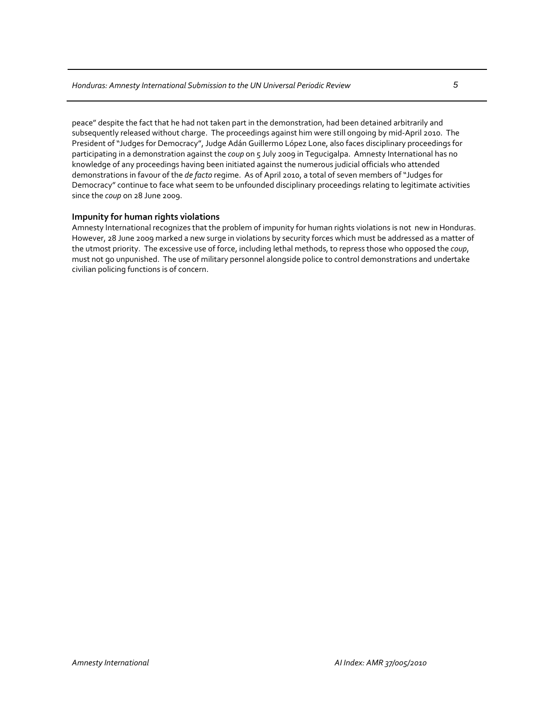peace" despite the fact that he had not taken part in the demonstration, had been detained arbitrarily and subsequently released without charge. The proceedings against him were still ongoing by mid‐April 2010. The President of "Judges for Democracy", Judge Adán Guillermo López Lone, also faces disciplinary proceedings for participating in a demonstration against the *coup* on 5 July 2009 in Tegucigalpa. Amnesty International has no knowledge of any proceedings having been initiated against the numerous judicial officials who attended demonstrations in favour of the *de facto* regime. As of April 2010, a total of seven members of "Judges for Democracy" continue to face what seem to be unfounded disciplinary proceedings relating to legitimate activities since the *coup* on 28 June 2009.

#### **Impunity for human rights violations**

Amnesty International recognizes that the problem of impunity for human rights violations is not new in Honduras. However, 28 June 2009 marked a new surge in violations by security forces which must be addressed as a matter of the utmost priority. The excessive use of force, including lethal methods, to repress those who opposed the *coup*, must not go unpunished. The use of military personnel alongside police to control demonstrations and undertake civilian policing functions is of concern.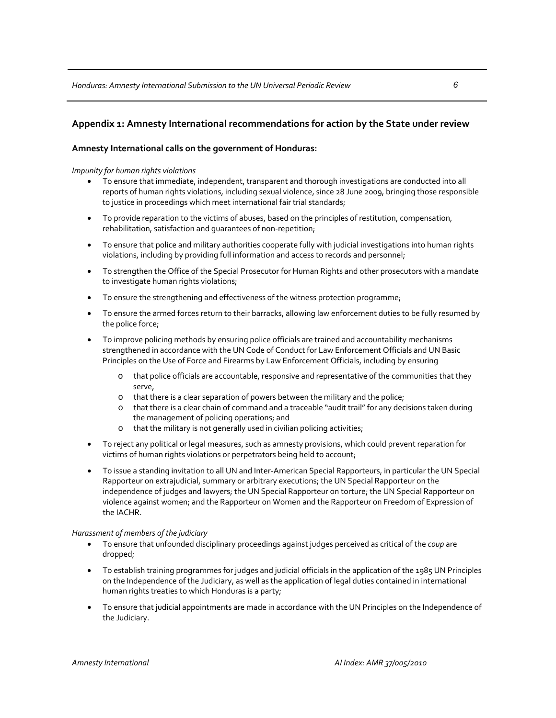## **Appendix 1: Amnesty International recommendations for action by the State under review**

#### **Amnesty International calls on the government of Honduras:**

*Impunity for human rights violations*

- To ensure that immediate, independent, transparent and thorough investigations are conducted into all reports of human rights violations, including sexual violence, since 28 June 2009, bringing those responsible to justice in proceedings which meet international fair trial standards;
- To provide reparation to the victims of abuses, based on the principles of restitution, compensation, rehabilitation, satisfaction and guarantees of non‐repetition;
- To ensure that police and military authorities cooperate fully with judicial investigations into human rights violations, including by providing full information and access to records and personnel;
- To strengthen the Office of the Special Prosecutor for Human Rights and other prosecutors with a mandate to investigate human rights violations;
- To ensure the strengthening and effectiveness of the witness protection programme;
- To ensure the armed forces return to their barracks, allowing law enforcement duties to be fully resumed by the police force;
- To improve policing methods by ensuring police officials are trained and accountability mechanisms strengthened in accordance with the UN Code of Conduct for Law Enforcement Officials and UN Basic Principles on the Use of Force and Firearms by Law Enforcement Officials, including by ensuring
	- o that police officials are accountable, responsive and representative of the communities that they serve,
	- o that there is a clear separation of powers between the military and the police;
	- o that there is a clear chain of command and a traceable "audit trail"for any decisions taken during the management of policing operations; and
	- o that the military is not generally used in civilian policing activities;
- To reject any political or legal measures, such as amnesty provisions, which could prevent reparation for victims of human rights violations or perpetrators being held to account;
- To issue a standing invitation to all UN and Inter‐American Special Rapporteurs, in particular the UN Special Rapporteur on extrajudicial, summary or arbitrary executions; the UN Special Rapporteur on the independence of judges and lawyers; the UN Special Rapporteur on torture; the UN Special Rapporteur on violence against women; and the Rapporteur on Women and the Rapporteur on Freedom of Expression of the IACHR.

#### *Harassment of members of the judiciary*

- To ensure that unfounded disciplinary proceedings against judges perceived as critical of the *coup* are dropped;
- To establish training programmes for judges and judicial officials in the application of the 1985 UN Principles on the Independence of the Judiciary, as well as the application of legal duties contained in international human rights treaties to which Honduras is a party;
- To ensure that judicial appointments are made in accordance with the UN Principles on the Independence of the Judiciary.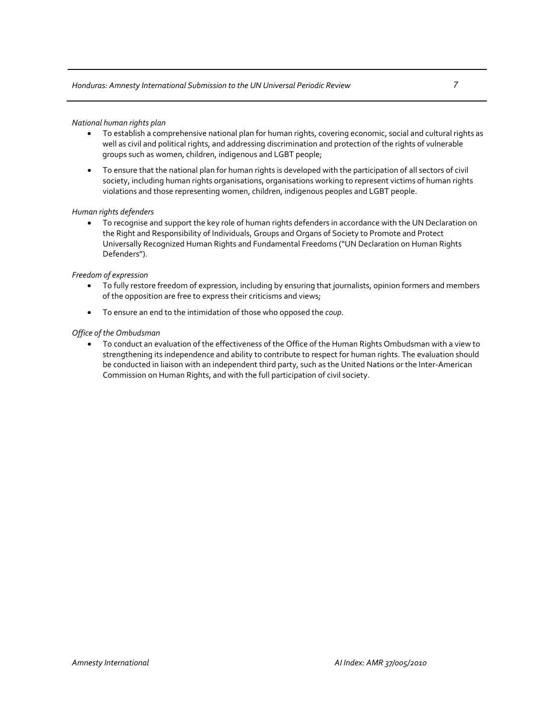- To establish a comprehensive national plan for human rights, covering economic, social and cultural rights as well as civil and political rights, and addressing discrimination and protection of the rights of vulnerable groups such as women, children, indigenous and LGBT people;
- To ensure that the national plan for human rights is developed with the participation of all sectors of civil society, including human rights organisations, organisations working to represent victims of human rights violations and those representing women, children, indigenous peoples and LGBT people.

#### *Human rights defenders*

• To recognise and support the key role of human rights defenders in accordance with the UN Declaration on the Right and Responsibility of Individuals, Groups and Organs of Society to Promote and Protect Universally Recognized Human Rights and Fundamental Freedoms ("UN Declaration on Human Rights Defenders").

#### *Freedom of expression*

- To fully restore freedom of expression, including by ensuring that journalists, opinion formers and members of the opposition are free to express their criticisms and views;
- To ensure an end to the intimidation of those who opposed the *coup*.

#### *Office of the Ombudsman*

• To conduct an evaluation of the effectiveness of the Office of the Human Rights Ombudsman with a view to strengthening its independence and ability to contribute to respect for human rights. The evaluation should be conducted in liaison with an independent third party, such as the United Nations or the Inter‐American Commission on Human Rights, and with the full participation of civil society.